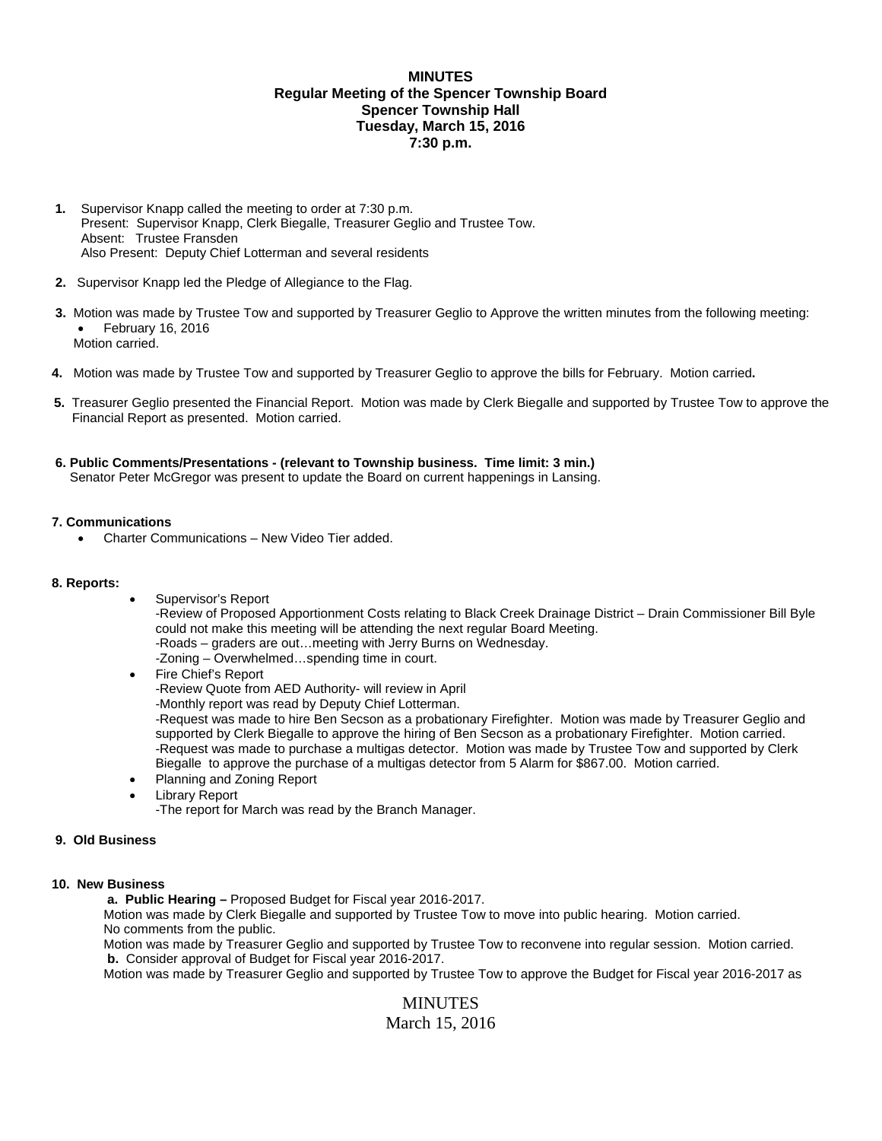# **MINUTES Regular Meeting of the Spencer Township Board Spencer Township Hall Tuesday, March 15, 2016 7:30 p.m.**

- **1.** Supervisor Knapp called the meeting to order at 7:30 p.m. Present: Supervisor Knapp, Clerk Biegalle, Treasurer Geglio and Trustee Tow. Absent: Trustee Fransden Also Present: Deputy Chief Lotterman and several residents
- **2.** Supervisor Knapp led the Pledge of Allegiance to the Flag.
- **3.** Motion was made by Trustee Tow and supported by Treasurer Geglio to Approve the written minutes from the following meeting:  $\bullet$  February 16, 2016 Motion carried.
- **4.** Motion was made by Trustee Tow and supported by Treasurer Geglio to approve the bills for February. Motion carried**.**
- **5.** Treasurer Geglio presented the Financial Report. Motion was made by Clerk Biegalle and supported by Trustee Tow to approve the Financial Report as presented. Motion carried.
- **6. Public Comments/Presentations (relevant to Township business. Time limit: 3 min.)** Senator Peter McGregor was present to update the Board on current happenings in Lansing.

# **7. Communications**

Charter Communications – New Video Tier added.

#### **8. Reports:**

- Supervisor's Report -Review of Proposed Apportionment Costs relating to Black Creek Drainage District – Drain Commissioner Bill Byle could not make this meeting will be attending the next regular Board Meeting. -Roads – graders are out…meeting with Jerry Burns on Wednesday. -Zoning – Overwhelmed…spending time in court.
- Fire Chief's Report -Review Quote from AED Authority- will review in April -Monthly report was read by Deputy Chief Lotterman. -Request was made to hire Ben Secson as a probationary Firefighter. Motion was made by Treasurer Geglio and supported by Clerk Biegalle to approve the hiring of Ben Secson as a probationary Firefighter. Motion carried. -Request was made to purchase a multigas detector. Motion was made by Trustee Tow and supported by Clerk Biegalle to approve the purchase of a multigas detector from 5 Alarm for \$867.00. Motion carried.
- Planning and Zoning Report
- Library Report

-The report for March was read by the Branch Manager.

### **9. Old Business**

# **10. New Business**

 **a. Public Hearing –** Proposed Budget for Fiscal year 2016-2017.

Motion was made by Clerk Biegalle and supported by Trustee Tow to move into public hearing. Motion carried. No comments from the public.

Motion was made by Treasurer Geglio and supported by Trustee Tow to reconvene into regular session. Motion carried.  **b.** Consider approval of Budget for Fiscal year 2016-2017.

Motion was made by Treasurer Geglio and supported by Trustee Tow to approve the Budget for Fiscal year 2016-2017 as

MINUTES March 15, 2016